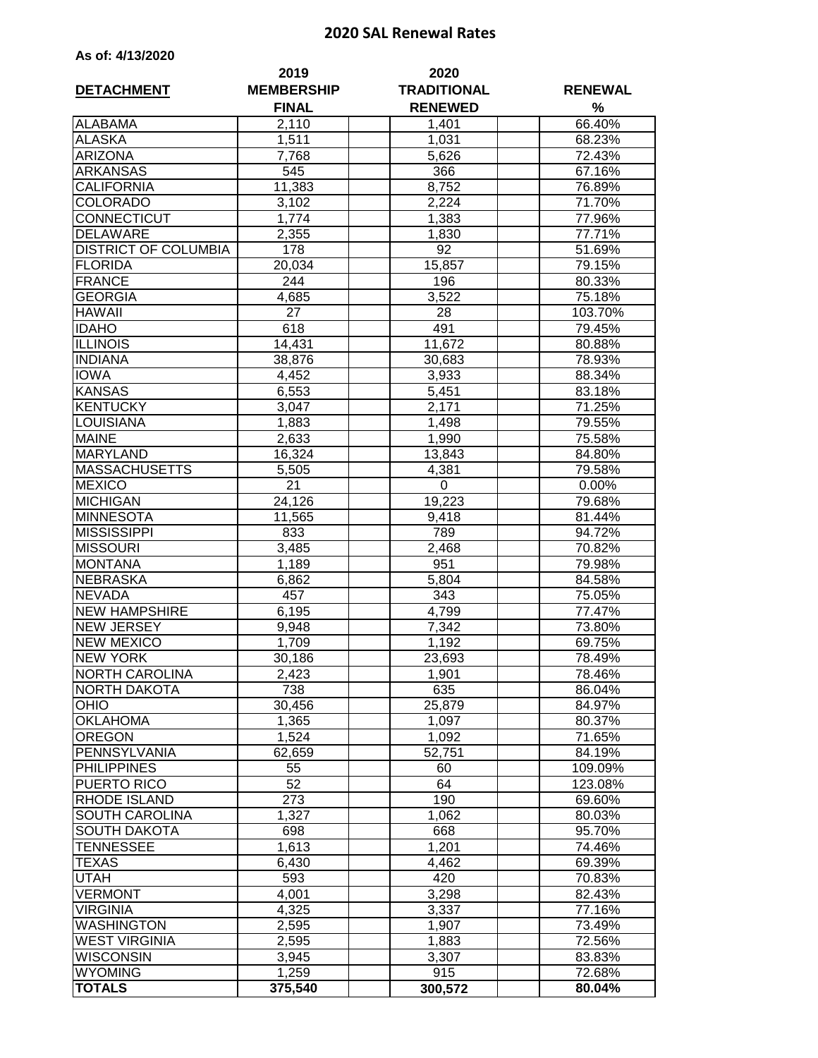## **2020 SAL Renewal Rates**

| As of: 4/13/2020 |  |
|------------------|--|
|------------------|--|

| <b>DETACHMENT</b>           | 2019<br><b>MEMBERSHIP</b> | 2020<br><b>TRADITIONAL</b> | <b>RENEWAL</b><br>% |  |
|-----------------------------|---------------------------|----------------------------|---------------------|--|
|                             | <b>FINAL</b>              | <b>RENEWED</b>             |                     |  |
| <b>ALABAMA</b>              | 2,110                     | 1,401                      | 66.40%              |  |
| <b>ALASKA</b>               | 1,511                     | 1,031                      | 68.23%              |  |
| <b>ARIZONA</b>              | 7,768                     | 5,626                      | 72.43%              |  |
| <b>ARKANSAS</b>             | 545                       | 366                        | 67.16%              |  |
| <b>CALIFORNIA</b>           | 11,383                    | 8,752                      | 76.89%              |  |
| <b>COLORADO</b>             | 3,102                     | 2,224                      | 71.70%              |  |
| CONNECTICUT                 | 1,774                     | 1,383                      | 77.96%              |  |
| <b>DELAWARE</b>             | 2,355                     | 1,830                      | 77.71%              |  |
| <b>DISTRICT OF COLUMBIA</b> | 178                       | 92                         | 51.69%              |  |
| <b>FLORIDA</b>              | 20,034                    | 15,857                     | 79.15%              |  |
| <b>FRANCE</b>               | 244                       | 196                        | 80.33%              |  |
| <b>GEORGIA</b>              | 4,685                     | 3,522                      | 75.18%              |  |
| <b>HAWAII</b>               | 27                        | 28                         | 103.70%             |  |
| <b>IDAHO</b>                | 618                       | 491                        | 79.45%              |  |
| <b>ILLINOIS</b>             | 14,431                    | 11,672                     | 80.88%              |  |
| <b>INDIANA</b>              | 38,876                    | 30,683                     | 78.93%              |  |
| <b>IOWA</b>                 | 4,452                     | 3,933                      | 88.34%              |  |
| <b>KANSAS</b>               | 6,553                     | 5,451                      | 83.18%              |  |
| <b>KENTUCKY</b>             | 3,047                     | 2,171                      | 71.25%              |  |
| <b>LOUISIANA</b>            | 1,883                     | 1,498                      | 79.55%              |  |
| <b>MAINE</b>                | 2,633                     | 1,990                      | 75.58%              |  |
| <b>MARYLAND</b>             | 16,324                    | 13,843                     | 84.80%              |  |
| <b>MASSACHUSETTS</b>        | 5,505                     | 4,381                      | 79.58%              |  |
| <b>MEXICO</b>               | 21                        | 0                          | 0.00%               |  |
| <b>MICHIGAN</b>             | 24,126                    | 19,223                     | 79.68%              |  |
| <b>MINNESOTA</b>            | 11,565                    | 9,418                      | 81.44%              |  |
| <b>MISSISSIPPI</b>          | 833                       | 789                        | 94.72%              |  |
| <b>MISSOURI</b>             | 3,485                     | 2,468                      | 70.82%              |  |
| <b>MONTANA</b>              | 1,189                     | 951                        | 79.98%              |  |
| <b>NEBRASKA</b>             | 6,862                     | 5,804                      | 84.58%              |  |
| <b>NEVADA</b>               | 457                       | 343                        | 75.05%              |  |
| <b>NEW HAMPSHIRE</b>        | 6,195                     | 4,799                      | 77.47%              |  |
| <b>NEW JERSEY</b>           | 9,948                     | 7,342                      | 73.80%              |  |
| <b>NEW MEXICO</b>           | 1,709                     | 1,192                      | 69.75%              |  |
| <b>NEW YORK</b>             | 30,186                    | 23,693                     | 78.49%              |  |
| <b>NORTH CAROLINA</b>       | 2,423                     | 1,901                      | 78.46%              |  |
| NORTH DAKOTA                | 738                       | 635                        | 86.04%              |  |
| <b>OHIO</b>                 | 30,456                    | 25,879                     | 84.97%              |  |
| <b>OKLAHOMA</b>             | 1,365                     | 1,097                      | 80.37%              |  |
| <b>OREGON</b>               | 1,524                     | 1,092                      | 71.65%              |  |
| PENNSYLVANIA                | 62,659                    | 52,751                     | 84.19%              |  |
| <b>PHILIPPINES</b>          | 55                        | 60                         | 109.09%             |  |
| PUERTO RICO                 | 52                        | 64                         | 123.08%             |  |
| RHODE ISLAND                | 273                       | 190                        | 69.60%              |  |
| SOUTH CAROLINA              | 1,327                     | 1,062                      | 80.03%              |  |
| <b>SOUTH DAKOTA</b>         | 698                       | 668                        | 95.70%              |  |
| TENNESSEE                   | 1,613                     | 1,201                      | 74.46%              |  |
| TEXAS                       | 6,430                     | 4,462                      | 69.39%              |  |
| UTAH                        | 593                       | 420                        | 70.83%              |  |
| <b>VERMONT</b>              | 4,001                     | 3,298                      | 82.43%              |  |
| <b>VIRGINIA</b>             | 4,325                     | 3,337                      | 77.16%              |  |
| <b>WASHINGTON</b>           | 2,595                     | 1,907                      | 73.49%              |  |
| <b>WEST VIRGINIA</b>        | 2,595                     | 1,883                      | 72.56%              |  |
| <b>WISCONSIN</b>            | 3,945                     | 3,307                      | 83.83%              |  |
| <b>WYOMING</b>              | 1,259                     | 915                        | 72.68%              |  |
| <b>TOTALS</b>               | 375,540                   | 300,572                    | 80.04%              |  |